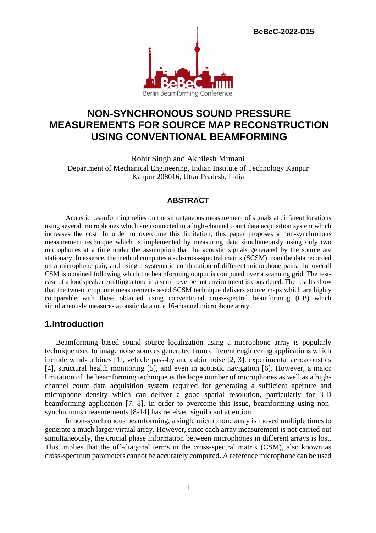**BeBeC-2022-D15**



# **NON-SYNCHRONOUS SOUND PRESSURE MEASUREMENTS FOR SOURCE MAP RECONSTRUCTION USING CONVENTIONAL BEAMFORMING**

Rohit Singh and Akhilesh Mimani Department of Mechanical Engineering, Indian Institute of Technology Kanpur Kanpur 208016, Uttar Pradesh, India

#### **ABSTRACT**

 Acoustic beamforming relies on the simultaneous measurement of signals at different locations using several microphones which are connected to a high-channel count data acquisition system which increases the cost. In order to overcome this limitation, this paper proposes a non-synchronous measurement technique which is implemented by measuring data simultaneously using only two microphones at a time under the assumption that the acoustic signals generated by the source are stationary. In essence, the method computes a sub-cross-spectral matrix (SCSM) from the data recorded on a microphone pair, and using a systematic combination of different microphone pairs, the overall CSM is obtained following which the beamforming output is computed over a scanning grid. The testcase of a loudspeaker emitting a tone in a semi-reverberant environment is considered. The results show that the two-microphone measurement-based SCSM technique delivers source maps which are highly comparable with those obtained using conventional cross-spectral beamforming (CB) which simultaneously measures acoustic data on a 16-channel microphone array.

### **1.Introduction**

 Beamforming based sound source localization using a microphone array is popularly technique used to image noise sources generated from different engineering applications which include wind-turbines [1], vehicle pass-by and cabin noise [2, 3], experimental aeroacoustics [4], structural health monitoring [5], and even in acoustic navigation [6]. However, a major limitation of the beamforming technique is the large number of microphones as well as a highchannel count data acquisition system required for generating a sufficient aperture and microphone density which can deliver a good spatial resolution, particularly for 3-D beamforming application [7, 8]. In order to overcome this issue, beamforming using nonsynchronous measurements [8-14] has received significant attention.

 In non-synchronous beamforming, a single microphone array is moved multiple times to generate a much larger virtual array. However, since each array measurement is not carried out simultaneously, the crucial phase information between microphones in different arrays is lost. This implies that the off-diagonal terms in the cross-spectral matrix (CSM), also known as cross-spectrum parameters cannot be accurately computed. A reference microphone can be used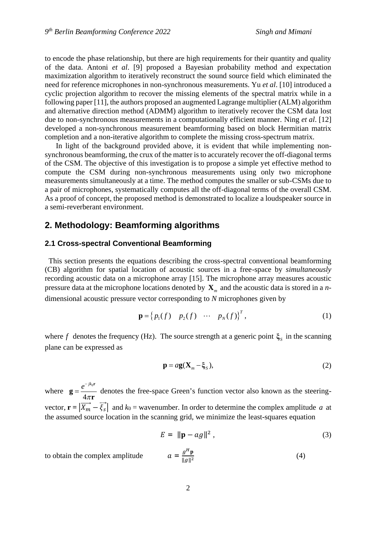to encode the phase relationship, but there are high requirements for their quantity and quality of the data. Antoni *et al*. [9] proposed a Bayesian probability method and expectation maximization algorithm to iteratively reconstruct the sound source field which eliminated the need for reference microphones in non-synchronous measurements. Yu *et al*. [10] introduced a cyclic projection algorithm to recover the missing elements of the spectral matrix while in a following paper [11], the authors proposed an augmented Lagrange multiplier (ALM) algorithm and alternative direction method (ADMM) algorithm to iteratively recover the CSM data lost due to non-synchronous measurements in a computationally efficient manner. Ning *et al*. [12] developed a non-synchronous measurement beamforming based on block Hermitian matrix completion and a non-iterative algorithm to complete the missing cross-spectrum matrix.

 In light of the background provided above, it is evident that while implementing nonsynchronous beamforming, the crux of the matter is to accurately recover the off-diagonal terms of the CSM. The objective of this investigation is to propose a simple yet effective method to compute the CSM during non-synchronous measurements using only two microphone measurements simultaneously at a time. The method computes the smaller or sub-CSMs due to a pair of microphones, systematically computes all the off-diagonal terms of the overall CSM. As a proof of concept, the proposed method is demonstrated to localize a loudspeaker source in a semi-reverberant environment.

## **2. Methodology: Beamforming algorithms**

#### **2.1 Cross-spectral Conventional Beamforming**

 This section presents the equations describing the cross-spectral conventional beamforming (CB) algorithm for spatial location of acoustic sources in a free-space by *simultaneously* recording acoustic data on a microphone array [15]. The microphone array measures acoustic pressure data at the microphone locations denoted by **X***<sup>m</sup>* and the acoustic data is stored in a *n*dimensional acoustic pressure vector corresponding to *N* microphones given by

$$
\mathbf{p} = \left\{ p_1(f) \quad p_2(f) \quad \cdots \quad p_N(f) \right\}^T, \tag{1}
$$

where *f* denotes the frequency (Hz). The source strength at a generic point  $\xi_s$  in the scanning plane can be expressed as

$$
\mathbf{p} = a\mathbf{g}(\mathbf{X}_m - \boldsymbol{\xi}_S),\tag{2}
$$

where  $\mathbf{g} = \frac{e^{-\jmath\kappa_0}}{4}$ 4  $e^{-jk}$ π - $=$ **r g r** denotes the free-space Green's function vector also known as the steeringvector,  $\mathbf{r} = |\overrightarrow{X_m} - \overrightarrow{\xi_s}|$  and  $k_0$  = wavenumber. In order to determine the complex amplitude *a* at the assumed source location in the scanning grid, we minimize the least-squares equation

$$
E = \|\mathbf{p} - ag\|^2, \tag{3}
$$

to obtain the complex amplitude  $a = \frac{g^H \mathbf{p}}{\ln a^{1/2}}$  $\|g\|^2$ (4)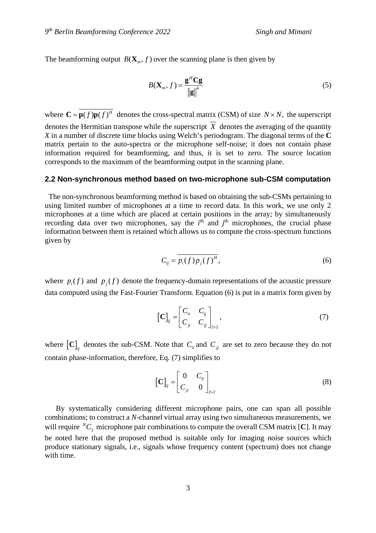The beamforming output  $B(\mathbf{X}_m, f)$  over the scanning plane is then given by

$$
B(\mathbf{X}_m, f) = \frac{\mathbf{g}^H \mathbf{C} \mathbf{g}}{\left\| \mathbf{g} \right\|^4} \tag{5}
$$

where  $\mathbf{C} = \overline{\mathbf{p}(f) \mathbf{p}(f)^H}$  denotes the cross-spectral matrix (CSM) of size *N* × *N*, the superscript denotes the Hermitian transpose while the superscript  $\overline{X}$  denotes the averaging of the quantity *X* in a number of discrete time blocks using Welch's periodogram. The diagonal terms of the **C** matrix pertain to the auto-spectra or the microphone self-noise; it does not contain phase information required for beamforming, and thus, it is set to zero. The source location corresponds to the maximum of the beamforming output in the scanning plane.

#### **2.2 Non-synchronous method based on two-microphone sub-CSM computation**

 The non-synchronous beamforming method is based on obtaining the sub-CSMs pertaining to using limited number of microphones at a time to record data. In this work, we use only 2 microphones at a time which are placed at certain positions in the array; by simultaneously recording data over two microphones, say the  $i<sup>th</sup>$  and  $j<sup>th</sup>$  microphones, the crucial phase information between them is retained which allows us to compute the cross-spectrum functions given by

$$
C_{ij} = \overline{p_i(f)p_j(f)^H},\tag{6}
$$

where  $p_i(f)$  and  $p_j(f)$  denote the frequency-domain representations of the acoustic pressure data computed using the Fast-Fourier Transform. Equation (6) is put in a matrix form given by

$$
\left[\mathbf{C}\right]_{ij} = \begin{bmatrix} C_{ii} & C_{ij} \\ C_{ji} & C_{jj} \end{bmatrix}_{2 \times 2},\tag{7}
$$

where  $\left[\mathbf{C}\right]_{ij}$  denotes the sub-CSM. Note that  $C_{ii}$  and  $C_{jj}$  are set to zero because they do not contain phase-information, therefore, Eq. (7) simplifies to

$$
\left[\mathbf{C}\right]_{ij} = \begin{bmatrix} 0 & C_{ij} \\ C_{ji} & 0 \end{bmatrix}_{2 \times 2}
$$
 (8)

 By systematically considering different microphone pairs, one can span all possible combinations; to construct a *N*-channel virtual array using two simultaneous measurements, we will require  ${}^NC_2$  microphone pair combinations to compute the overall CSM matrix [C]. It may be noted here that the proposed method is suitable only for imaging noise sources which produce stationary signals, i.e., signals whose frequency content (spectrum) does not change with time.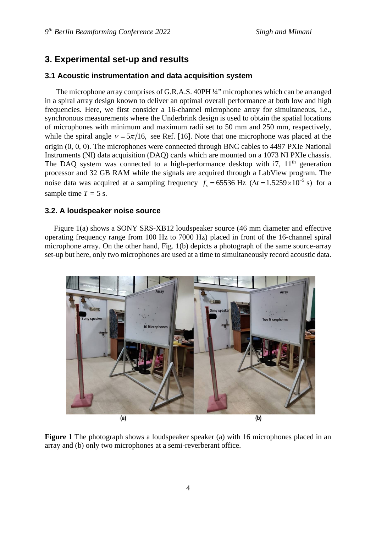### **3. Experimental set-up and results**

#### **3.1 Acoustic instrumentation and data acquisition system**

 The microphone array comprises of G.R.A.S. 40PH ¼" microphones which can be arranged in a spiral array design known to deliver an optimal overall performance at both low and high frequencies. Here, we first consider a 16-channel microphone array for simultaneous, i.e., synchronous measurements where the Underbrink design is used to obtain the spatial locations of microphones with minimum and maximum radii set to 50 mm and 250 mm, respectively, while the spiral angle  $v = 5\pi/16$ , see Ref. [16]. Note that one microphone was placed at the origin (0, 0, 0). The microphones were connected through BNC cables to 4497 PXIe National Instruments (NI) data acquisition (DAQ) cards which are mounted on a 1073 NI PXIe chassis. The DAO system was connected to a high-performance desktop with  $17$ ,  $11<sup>th</sup>$  generation processor and 32 GB RAM while the signals are acquired through a LabView program. The noise data was acquired at a sampling frequency  $f_s = 65536$  Hz ( $\Delta t = 1.5259 \times 10^{-5}$  s) for a sample time  $T = 5$  s.

#### **3.2. A loudspeaker noise source**

 Figure 1(a) shows a SONY SRS-XB12 loudspeaker source (46 mm diameter and effective operating frequency range from 100 Hz to 7000 Hz) placed in front of the 16-channel spiral microphone array. On the other hand, Fig. 1(b) depicts a photograph of the same source-array set-up but here, only two microphones are used at a time to simultaneously record acoustic data.



**Figure 1** The photograph shows a loudspeaker speaker (a) with 16 microphones placed in an array and (b) only two microphones at a semi-reverberant office.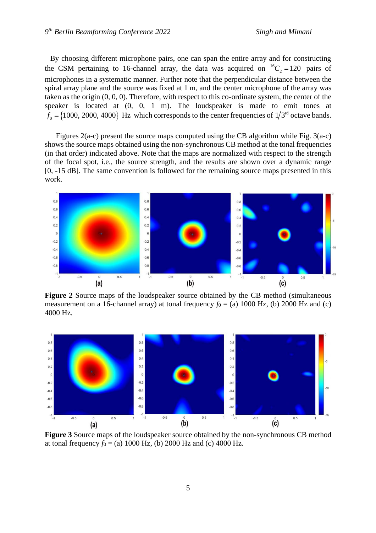By choosing different microphone pairs, one can span the entire array and for constructing the CSM pertaining to 16-channel array, the data was acquired on  ${}^{16}C_2 = 120$  pairs of microphones in a systematic manner. Further note that the perpendicular distance between the spiral array plane and the source was fixed at 1 m, and the center microphone of the array was taken as the origin (0, 0, 0). Therefore, with respect to this co-ordinate system, the center of the speaker is located at (0, 0, 1 m). The loudspeaker is made to emit tones at  $f_0 = \{1000, 2000, 4000\}$  Hz which corresponds to the center frequencies of  $1/3<sup>rd</sup>$  octave bands.

 Figures 2(a-c) present the source maps computed using the CB algorithm while Fig. 3(a-c) shows the source maps obtained using the non-synchronous CB method at the tonal frequencies (in that order) indicated above. Note that the maps are normalized with respect to the strength of the focal spot, i.e., the source strength, and the results are shown over a dynamic range [0, -15 dB]. The same convention is followed for the remaining source maps presented in this work.



Figure 2 Source maps of the loudspeaker source obtained by the CB method (simultaneous measurement on a 16-channel array) at tonal frequency  $f_0 = (a) 1000$  Hz, (b) 2000 Hz and (c) 4000 Hz.



**Figure 3** Source maps of the loudspeaker source obtained by the non-synchronous CB method at tonal frequency  $f_0 = (a) 1000$  Hz, (b) 2000 Hz and (c) 4000 Hz.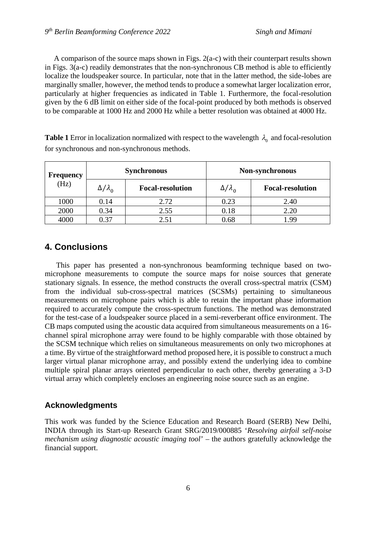A comparison of the source maps shown in Figs. 2(a-c) with their counterpart results shown in Figs. 3(a-c) readily demonstrates that the non-synchronous CB method is able to efficiently localize the loudspeaker source. In particular, note that in the latter method, the side-lobes are marginally smaller, however, the method tends to produce a somewhat larger localization error, particularly at higher frequencies as indicated in Table 1. Furthermore, the focal-resolution given by the 6 dB limit on either side of the focal-point produced by both methods is observed to be comparable at 1000 Hz and 2000 Hz while a better resolution was obtained at 4000 Hz.

**Table 1** Error in localization normalized with respect to the wavelength  $\lambda_0$  and focal-resolution for synchronous and non-synchronous methods.

| <b>Frequency</b><br>(Hz) | <b>Synchronous</b> |                         | Non-synchronous      |                         |
|--------------------------|--------------------|-------------------------|----------------------|-------------------------|
|                          | $\Delta/\lambda_0$ | <b>Focal-resolution</b> | $\Delta/\lambda_{0}$ | <b>Focal-resolution</b> |
| 1000                     | 0.14               | 2.72                    | 0.23                 | 2.40                    |
| 2000                     | 0.34               | 2.55                    | 0.18                 | 2.20                    |
| 4000                     | 0.37               | 2.51                    | 0.68                 | 1.99                    |

### **4. Conclusions**

 This paper has presented a non-synchronous beamforming technique based on twomicrophone measurements to compute the source maps for noise sources that generate stationary signals. In essence, the method constructs the overall cross-spectral matrix (CSM) from the individual sub-cross-spectral matrices (SCSMs) pertaining to simultaneous measurements on microphone pairs which is able to retain the important phase information required to accurately compute the cross-spectrum functions. The method was demonstrated for the test-case of a loudspeaker source placed in a semi-reverberant office environment. The CB maps computed using the acoustic data acquired from simultaneous measurements on a 16 channel spiral microphone array were found to be highly comparable with those obtained by the SCSM technique which relies on simultaneous measurements on only two microphones at a time. By virtue of the straightforward method proposed here, it is possible to construct a much larger virtual planar microphone array, and possibly extend the underlying idea to combine multiple spiral planar arrays oriented perpendicular to each other, thereby generating a 3-D virtual array which completely encloses an engineering noise source such as an engine.

#### **Acknowledgments**

This work was funded by the Science Education and Research Board (SERB) New Delhi, INDIA through its Start-up Research Grant SRG/2019/000885 '*Resolving airfoil self-noise mechanism using diagnostic acoustic imaging tool*' – the authors gratefully acknowledge the financial support.